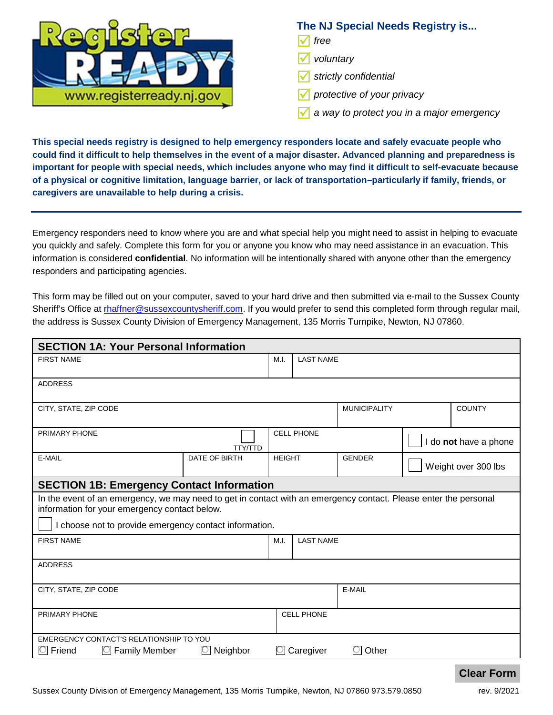

## **The NJ Special Needs Registry is...**

- *free*
- *voluntary*
- *strictly confidential*
- *protective of your privacy*
- *a way to protect you in a major emergency*

**This special needs registry is designed to help emergency responders locate and safely evacuate people who could find it difficult to help themselves in the event of a major disaster. Advanced planning and preparedness is important for people with special needs, which includes anyone who may find it difficult to self-evacuate because of a physical or cognitive limitation, language barrier, or lack of transportation–particularly if family, friends, or caregivers are unavailable to help during a crisis.**

Emergency responders need to know where you are and what special help you might need to assist in helping to evacuate you quickly and safely. Complete this form for you or anyone you know who may need assistance in an evacuation. This information is considered **confidential**. No information will be intentionally shared with anyone other than the emergency responders and participating agencies.

This form may be filled out on your computer, saved to your hard drive and then submitted via e-mail to the Sussex County Sheriff's Office at [rhaffner@sussexcountysheriff.com.](mailto:rhaffner@sussexcountysheriff.com) If you would prefer to send this completed form through regular mail, the address is Sussex County Division of Emergency Management, 135 Morris Turnpike, Newton, NJ 07860.

| <b>SECTION 1A: Your Personal Information</b>                                                                                                                      |               |               |                   |                     |                       |  |  |
|-------------------------------------------------------------------------------------------------------------------------------------------------------------------|---------------|---------------|-------------------|---------------------|-----------------------|--|--|
| <b>FIRST NAME</b>                                                                                                                                                 |               | M.I.          | <b>LAST NAME</b>  |                     |                       |  |  |
| <b>ADDRESS</b>                                                                                                                                                    |               |               |                   |                     |                       |  |  |
| CITY, STATE, ZIP CODE                                                                                                                                             |               |               |                   | <b>MUNICIPALITY</b> | <b>COUNTY</b>         |  |  |
| PRIMARY PHONE                                                                                                                                                     | TTY/TTD       |               | <b>CELL PHONE</b> |                     | I do not have a phone |  |  |
| E-MAIL                                                                                                                                                            | DATE OF BIRTH | <b>HEIGHT</b> |                   | <b>GENDER</b>       | Weight over 300 lbs   |  |  |
| <b>SECTION 1B: Emergency Contact Information</b>                                                                                                                  |               |               |                   |                     |                       |  |  |
| In the event of an emergency, we may need to get in contact with an emergency contact. Please enter the personal<br>information for your emergency contact below. |               |               |                   |                     |                       |  |  |
| I choose not to provide emergency contact information.                                                                                                            |               |               |                   |                     |                       |  |  |
| <b>FIRST NAME</b>                                                                                                                                                 |               | M.I.          | <b>LAST NAME</b>  |                     |                       |  |  |
| <b>ADDRESS</b>                                                                                                                                                    |               |               |                   |                     |                       |  |  |
| CITY, STATE, ZIP CODE                                                                                                                                             |               |               |                   | E-MAIL              |                       |  |  |
| PRIMARY PHONE                                                                                                                                                     |               |               | <b>CELL PHONE</b> |                     |                       |  |  |
| EMERGENCY CONTACT'S RELATIONSHIP TO YOU<br>Friend<br><b>Family Member</b>                                                                                         | Neighbor      |               | Caregiver         | Other               |                       |  |  |

## **Clear Form**